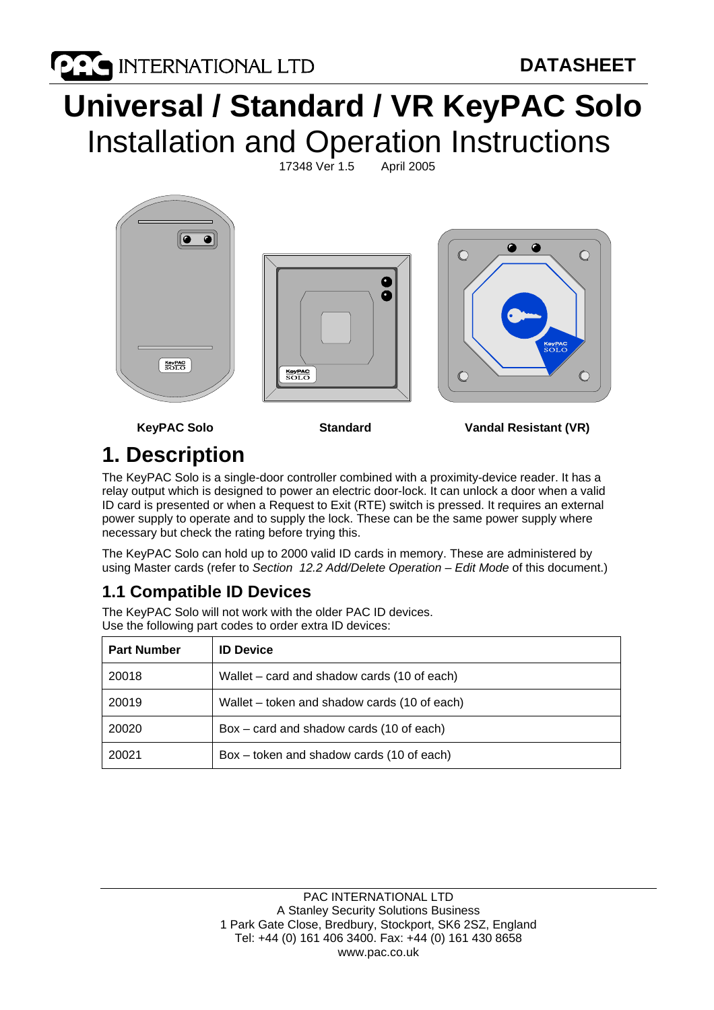**DES INTERNATIONAL LTD** 

**DATASHEET**

# **Universal / Standard / VR KeyPAC Solo**  Installation and Operation Instructions

17348 Ver 1.5



**KeyPAC Solo Standard Vandal Resistant (VR)** 

## **1. Description**

The KeyPAC Solo is a single-door controller combined with a proximity-device reader. It has a relay output which is designed to power an electric door-lock. It can unlock a door when a valid ID card is presented or when a Request to Exit (RTE) switch is pressed. It requires an external power supply to operate and to supply the lock. These can be the same power supply where necessary but check the rating before trying this.

The KeyPAC Solo can hold up to 2000 valid ID cards in memory. These are administered by using Master cards (refer to *Section 12.2 Add/Delete Operation – Edit Mode* of this document.)

## **1.1 Compatible ID Devices**

The KeyPAC Solo will not work with the older PAC ID devices. Use the following part codes to order extra ID devices:

| <b>Part Number</b> | <b>ID Device</b>                             |
|--------------------|----------------------------------------------|
| 20018              | Wallet – card and shadow cards (10 of each)  |
| 20019              | Wallet – token and shadow cards (10 of each) |
| 20020              | $Box - card$ and shadow cards (10 of each)   |
| 20021              | Box – token and shadow cards (10 of each)    |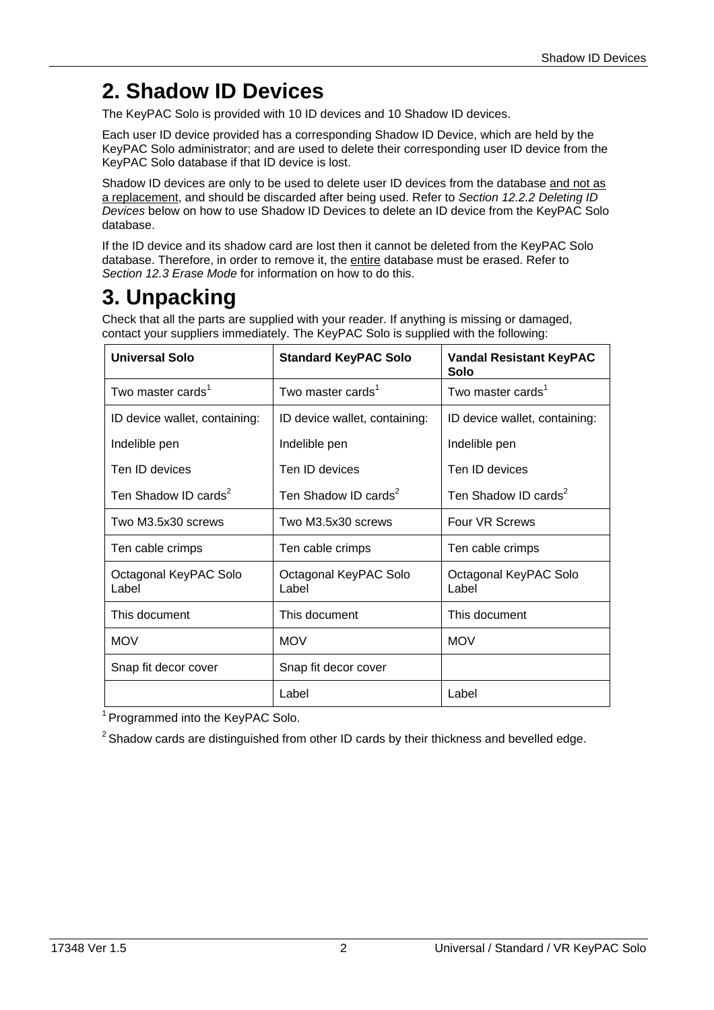## **2. Shadow ID Devices**

The KeyPAC Solo is provided with 10 ID devices and 10 Shadow ID devices.

Each user ID device provided has a corresponding Shadow ID Device, which are held by the KeyPAC Solo administrator; and are used to delete their corresponding user ID device from the KeyPAC Solo database if that ID device is lost.

Shadow ID devices are only to be used to delete user ID devices from the database and not as a replacement, and should be discarded after being used. Refer to *Section 12.2.2 Deleting ID Devices* below on how to use Shadow ID Devices to delete an ID device from the KeyPAC Solo database.

If the ID device and its shadow card are lost then it cannot be deleted from the KeyPAC Solo database. Therefore, in order to remove it, the entire database must be erased. Refer to *Section 12.3 Erase Mode* for information on how to do this.

## **3. Unpacking**

Check that all the parts are supplied with your reader. If anything is missing or damaged, contact your suppliers immediately. The KeyPAC Solo is supplied with the following:

| <b>Universal Solo</b>            | <b>Standard KeyPAC Solo</b>      | <b>Vandal Resistant KeyPAC</b><br>Solo |
|----------------------------------|----------------------------------|----------------------------------------|
| Two master cards <sup>1</sup>    | Two master cards <sup>1</sup>    | Two master cards <sup>1</sup>          |
| ID device wallet, containing:    | ID device wallet, containing:    | ID device wallet, containing:          |
| Indelible pen                    | Indelible pen                    | Indelible pen                          |
| Ten ID devices                   | Ten ID devices                   | Ten ID devices                         |
| Ten Shadow ID cards <sup>2</sup> | Ten Shadow ID cards <sup>2</sup> | Ten Shadow ID cards <sup>2</sup>       |
| Two M3.5x30 screws               | Two M3.5x30 screws               | <b>Four VR Screws</b>                  |
| Ten cable crimps                 | Ten cable crimps                 | Ten cable crimps                       |
| Octagonal KeyPAC Solo<br>Label   | Octagonal KeyPAC Solo<br>Label   | Octagonal KeyPAC Solo<br>Label         |
| This document                    | This document                    | This document                          |
| <b>MOV</b>                       | <b>MOV</b>                       | <b>MOV</b>                             |
| Snap fit decor cover             | Snap fit decor cover             |                                        |
|                                  | Label                            | Label                                  |

<sup>1</sup> Programmed into the KeyPAC Solo.

 $2$  Shadow cards are distinguished from other ID cards by their thickness and bevelled edge.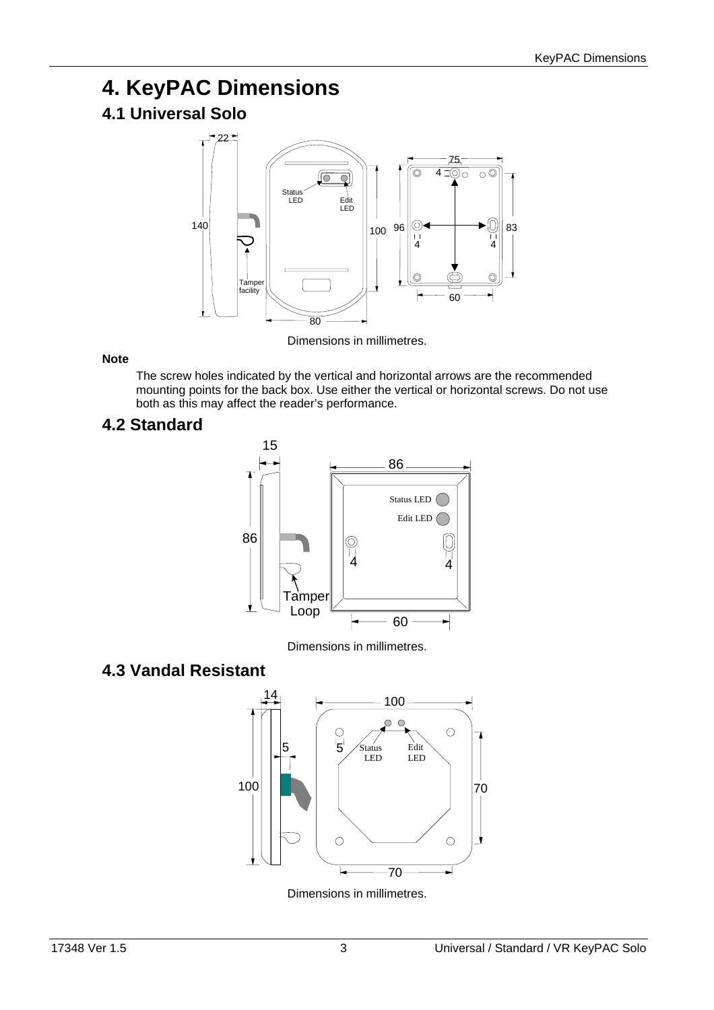## **4. KeyPAC Dimensions**

## **4.1 Universal Solo**



Dimensions in millimetres.

#### **Note**

The screw holes indicated by the vertical and horizontal arrows are the recommended mounting points for the back box. Use either the vertical or horizontal screws. Do not use both as this may affect the reader's performance.

### **4.2 Standard**



Dimensions in millimetres.

## **4.3 Vandal Resistant**



Dimensions in millimetres.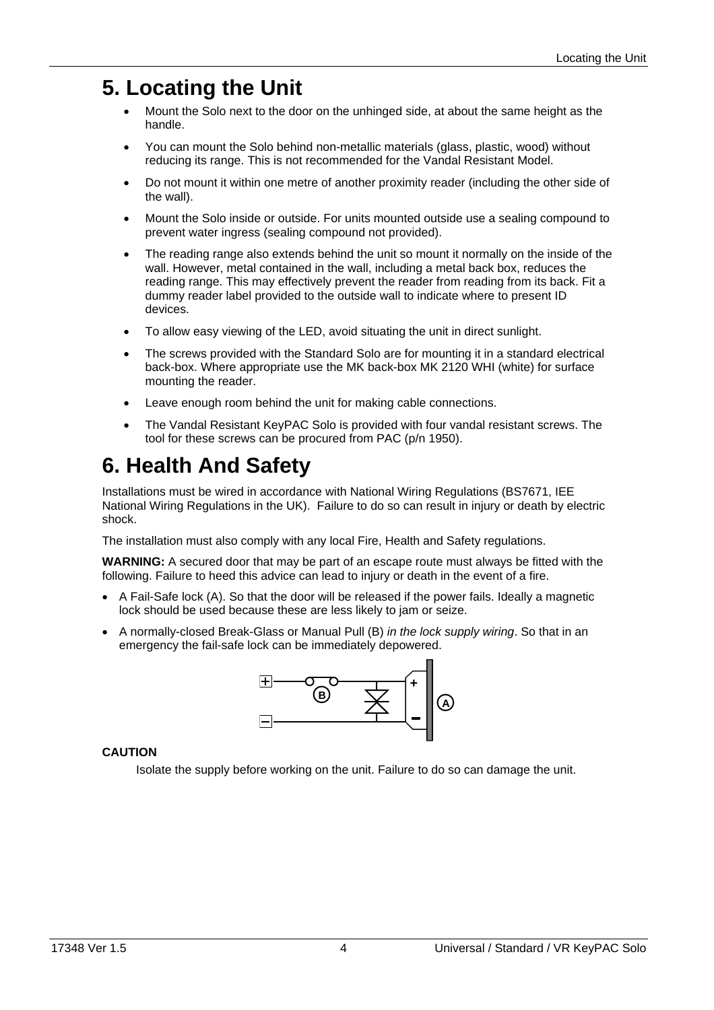## **5. Locating the Unit**

- Mount the Solo next to the door on the unhinged side, at about the same height as the handle.
- You can mount the Solo behind non-metallic materials (glass, plastic, wood) without reducing its range. This is not recommended for the Vandal Resistant Model.
- Do not mount it within one metre of another proximity reader (including the other side of the wall).
- Mount the Solo inside or outside. For units mounted outside use a sealing compound to prevent water ingress (sealing compound not provided).
- The reading range also extends behind the unit so mount it normally on the inside of the wall. However, metal contained in the wall, including a metal back box, reduces the reading range. This may effectively prevent the reader from reading from its back. Fit a dummy reader label provided to the outside wall to indicate where to present ID devices.
- To allow easy viewing of the LED, avoid situating the unit in direct sunlight.
- The screws provided with the Standard Solo are for mounting it in a standard electrical back-box. Where appropriate use the MK back-box MK 2120 WHI (white) for surface mounting the reader.
- Leave enough room behind the unit for making cable connections.
- The Vandal Resistant KeyPAC Solo is provided with four vandal resistant screws. The tool for these screws can be procured from PAC (p/n 1950).

## **6. Health And Safety**

Installations must be wired in accordance with National Wiring Regulations (BS7671, IEE National Wiring Regulations in the UK). Failure to do so can result in injury or death by electric shock.

The installation must also comply with any local Fire, Health and Safety regulations.

**WARNING:** A secured door that may be part of an escape route must always be fitted with the following. Failure to heed this advice can lead to injury or death in the event of a fire.

- A Fail-Safe lock (A). So that the door will be released if the power fails. Ideally a magnetic lock should be used because these are less likely to jam or seize.
- A normally-closed Break-Glass or Manual Pull (B) *in the lock supply wiring*. So that in an emergency the fail-safe lock can be immediately depowered.



#### **CAUTION**

Isolate the supply before working on the unit. Failure to do so can damage the unit.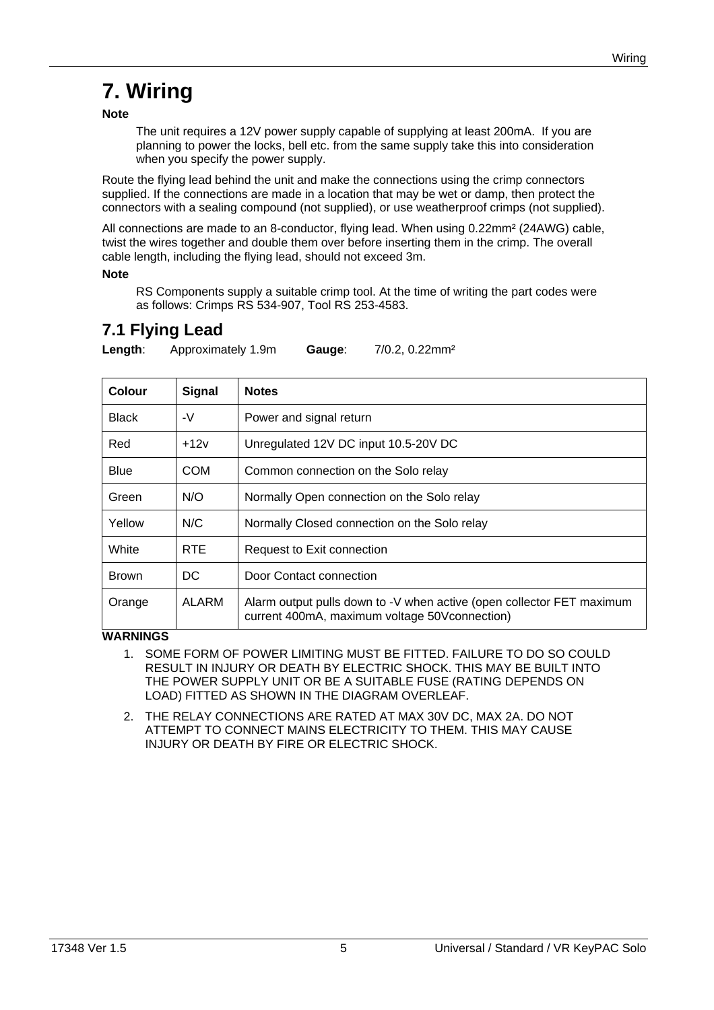## **7. Wiring**

**Note** 

The unit requires a 12V power supply capable of supplying at least 200mA. If you are planning to power the locks, bell etc. from the same supply take this into consideration when you specify the power supply.

Route the flying lead behind the unit and make the connections using the crimp connectors supplied. If the connections are made in a location that may be wet or damp, then protect the connectors with a sealing compound (not supplied), or use weatherproof crimps (not supplied).

All connections are made to an 8-conductor, flying lead. When using 0.22mm² (24AWG) cable, twist the wires together and double them over before inserting them in the crimp. The overall cable length, including the flying lead, should not exceed 3m.

#### **Note**

RS Components supply a suitable crimp tool. At the time of writing the part codes were as follows: Crimps RS 534-907, Tool RS 253-4583.

### **7.1 Flying Lead**

**Length**: Approximately 1.9m **Gauge**: 7/0.2, 0.22mm²

| Colour       | <b>Signal</b> | <b>Notes</b>                                                                                                            |
|--------------|---------------|-------------------------------------------------------------------------------------------------------------------------|
| <b>Black</b> | -V            | Power and signal return                                                                                                 |
| Red          | $+12v$        | Unregulated 12V DC input 10.5-20V DC                                                                                    |
| <b>Blue</b>  | <b>COM</b>    | Common connection on the Solo relay                                                                                     |
| Green        | N/O           | Normally Open connection on the Solo relay                                                                              |
| Yellow       | N/C           | Normally Closed connection on the Solo relay                                                                            |
| White        | <b>RTE</b>    | Request to Exit connection                                                                                              |
| <b>Brown</b> | DC            | Door Contact connection                                                                                                 |
| Orange       | ALARM         | Alarm output pulls down to -V when active (open collector FET maximum<br>current 400mA, maximum voltage 50V connection) |

#### **WARNINGS**

- 1. SOME FORM OF POWER LIMITING MUST BE FITTED. FAILURE TO DO SO COULD RESULT IN INJURY OR DEATH BY ELECTRIC SHOCK. THIS MAY BE BUILT INTO THE POWER SUPPLY UNIT OR BE A SUITABLE FUSE (RATING DEPENDS ON LOAD) FITTED AS SHOWN IN THE DIAGRAM OVERLEAF.
- 2. THE RELAY CONNECTIONS ARE RATED AT MAX 30V DC, MAX 2A. DO NOT ATTEMPT TO CONNECT MAINS ELECTRICITY TO THEM. THIS MAY CAUSE INJURY OR DEATH BY FIRE OR ELECTRIC SHOCK.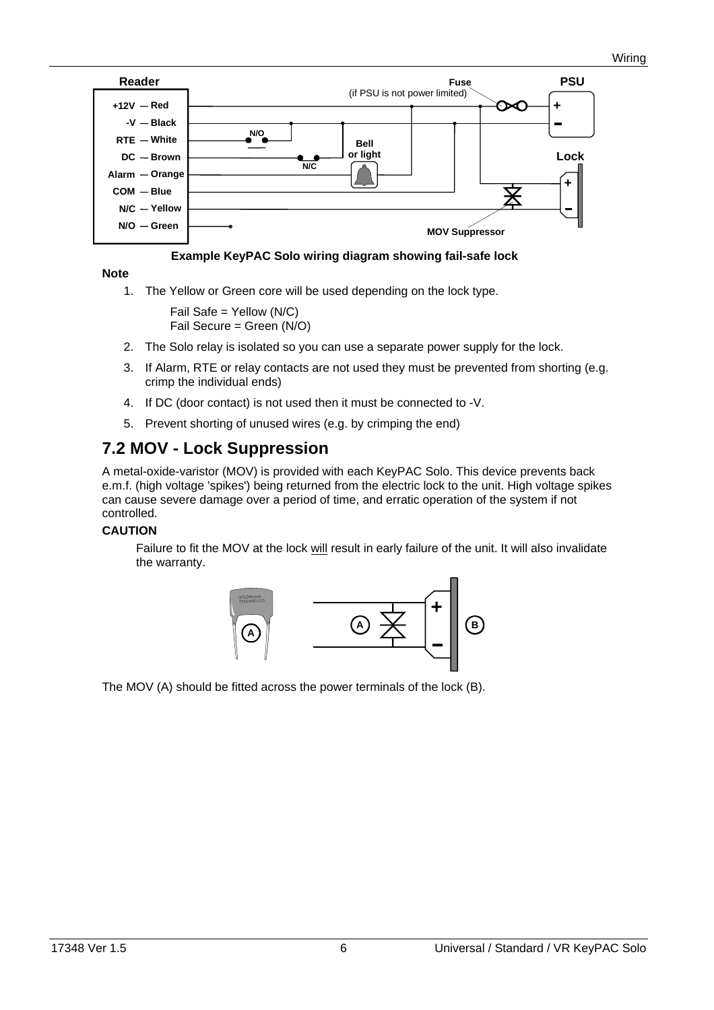

#### **Example KeyPAC Solo wiring diagram showing fail-safe lock**

**Note**

1. The Yellow or Green core will be used depending on the lock type.

```
Fail Safe = Yellow (N/C) 
Fail Secure = Green (N/O)
```
- 2. The Solo relay is isolated so you can use a separate power supply for the lock.
- 3. If Alarm, RTE or relay contacts are not used they must be prevented from shorting (e.g. crimp the individual ends)
- 4. If DC (door contact) is not used then it must be connected to -V.
- 5. Prevent shorting of unused wires (e.g. by crimping the end)

### **7.2 MOV - Lock Suppression**

A metal-oxide-varistor (MOV) is provided with each KeyPAC Solo. This device prevents back e.m.f. (high voltage 'spikes') being returned from the electric lock to the unit. High voltage spikes can cause severe damage over a period of time, and erratic operation of the system if not controlled.

#### **CAUTION**

Failure to fit the MOV at the lock will result in early failure of the unit. It will also invalidate the warranty.



The MOV (A) should be fitted across the power terminals of the lock (B).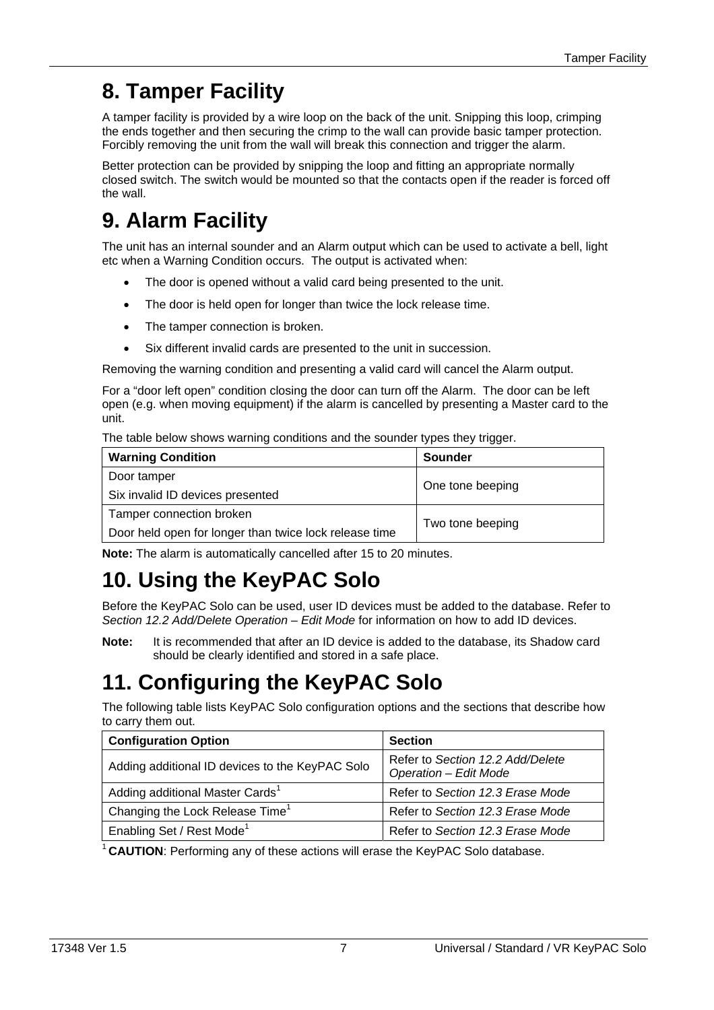## **8. Tamper Facility**

A tamper facility is provided by a wire loop on the back of the unit. Snipping this loop, crimping the ends together and then securing the crimp to the wall can provide basic tamper protection. Forcibly removing the unit from the wall will break this connection and trigger the alarm.

Better protection can be provided by snipping the loop and fitting an appropriate normally closed switch. The switch would be mounted so that the contacts open if the reader is forced off the wall.

## **9. Alarm Facility**

The unit has an internal sounder and an Alarm output which can be used to activate a bell, light etc when a Warning Condition occurs. The output is activated when:

- The door is opened without a valid card being presented to the unit.
- The door is held open for longer than twice the lock release time.
- The tamper connection is broken.
- Six different invalid cards are presented to the unit in succession.

Removing the warning condition and presenting a valid card will cancel the Alarm output.

For a "door left open" condition closing the door can turn off the Alarm. The door can be left open (e.g. when moving equipment) if the alarm is cancelled by presenting a Master card to the unit.

The table below shows warning conditions and the sounder types they trigger.

| <b>Warning Condition</b>                               | <b>Sounder</b>   |  |
|--------------------------------------------------------|------------------|--|
| Door tamper                                            | One tone beeping |  |
| Six invalid ID devices presented                       |                  |  |
| Tamper connection broken                               |                  |  |
| Door held open for longer than twice lock release time | Two tone beeping |  |

**Note:** The alarm is automatically cancelled after 15 to 20 minutes.

## **10. Using the KeyPAC Solo**

Before the KeyPAC Solo can be used, user ID devices must be added to the database. Refer to *Section 12.2 Add/Delete Operation – Edit Mode* for information on how to add ID devices.

**Note:** It is recommended that after an ID device is added to the database, its Shadow card should be clearly identified and stored in a safe place.

## **11. Configuring the KeyPAC Solo**

The following table lists KeyPAC Solo configuration options and the sections that describe how to carry them out.

| <b>Configuration Option</b>                     | <b>Section</b>                                            |  |
|-------------------------------------------------|-----------------------------------------------------------|--|
| Adding additional ID devices to the KeyPAC Solo | Refer to Section 12.2 Add/Delete<br>Operation - Edit Mode |  |
| Adding additional Master Cards <sup>1</sup>     | Refer to Section 12.3 Erase Mode                          |  |
| Changing the Lock Release Time <sup>1</sup>     | Refer to Section 12.3 Erase Mode                          |  |
| Enabling Set / Rest Mode <sup>1</sup>           | Refer to Section 12.3 Erase Mode                          |  |

<sup>1</sup> CAUTION: Performing any of these actions will erase the KeyPAC Solo database.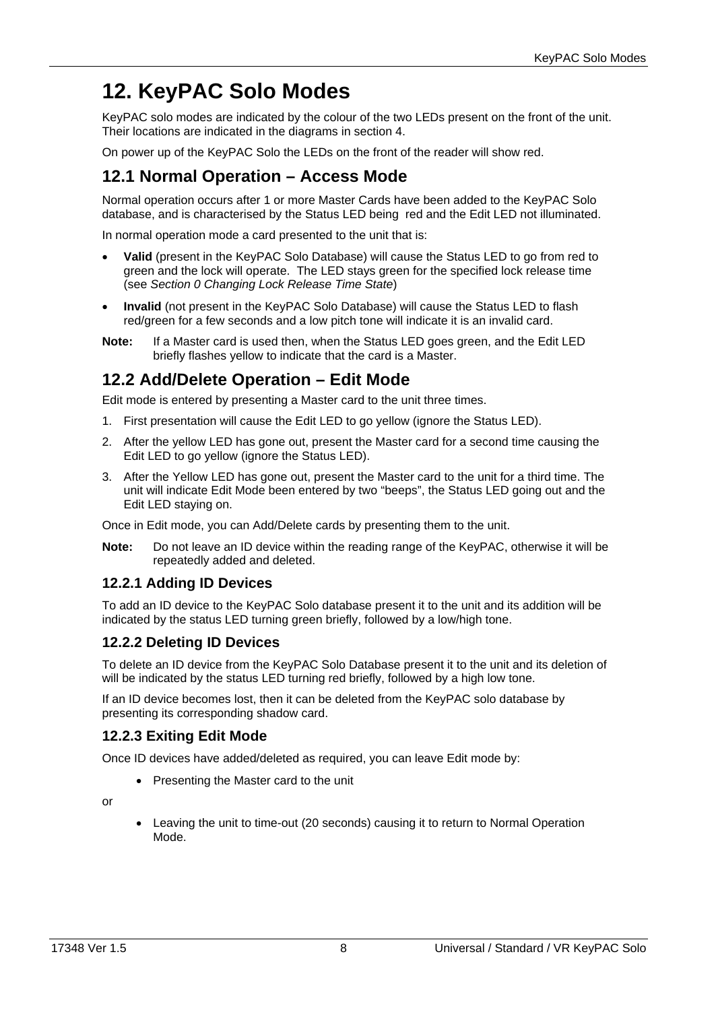## **12. KeyPAC Solo Modes**

KeyPAC solo modes are indicated by the colour of the two LEDs present on the front of the unit. Their locations are indicated in the diagrams in section 4.

On power up of the KeyPAC Solo the LEDs on the front of the reader will show red.

## **12.1 Normal Operation – Access Mode**

Normal operation occurs after 1 or more Master Cards have been added to the KeyPAC Solo database, and is characterised by the Status LED being red and the Edit LED not illuminated.

In normal operation mode a card presented to the unit that is:

- **Valid** (present in the KeyPAC Solo Database) will cause the Status LED to go from red to green and the lock will operate. The LED stays green for the specified lock release time (see *Section 0 Changing Lock Release Time State*)
- **Invalid** (not present in the KeyPAC Solo Database) will cause the Status LED to flash red/green for a few seconds and a low pitch tone will indicate it is an invalid card.
- **Note:** If a Master card is used then, when the Status LED goes green, and the Edit LED briefly flashes yellow to indicate that the card is a Master.

## **12.2 Add/Delete Operation – Edit Mode**

Edit mode is entered by presenting a Master card to the unit three times.

- 1. First presentation will cause the Edit LED to go yellow (ignore the Status LED).
- 2. After the yellow LED has gone out, present the Master card for a second time causing the Edit LED to go yellow (ignore the Status LED).
- 3. After the Yellow LED has gone out, present the Master card to the unit for a third time. The unit will indicate Edit Mode been entered by two "beeps", the Status LED going out and the Edit LED staying on.

Once in Edit mode, you can Add/Delete cards by presenting them to the unit.

**Note:** Do not leave an ID device within the reading range of the KeyPAC, otherwise it will be repeatedly added and deleted.

### **12.2.1 Adding ID Devices**

To add an ID device to the KeyPAC Solo database present it to the unit and its addition will be indicated by the status LED turning green briefly, followed by a low/high tone.

### **12.2.2 Deleting ID Devices**

To delete an ID device from the KeyPAC Solo Database present it to the unit and its deletion of will be indicated by the status LED turning red briefly, followed by a high low tone.

If an ID device becomes lost, then it can be deleted from the KeyPAC solo database by presenting its corresponding shadow card.

### **12.2.3 Exiting Edit Mode**

Once ID devices have added/deleted as required, you can leave Edit mode by:

• Presenting the Master card to the unit

or

• Leaving the unit to time-out (20 seconds) causing it to return to Normal Operation Mode.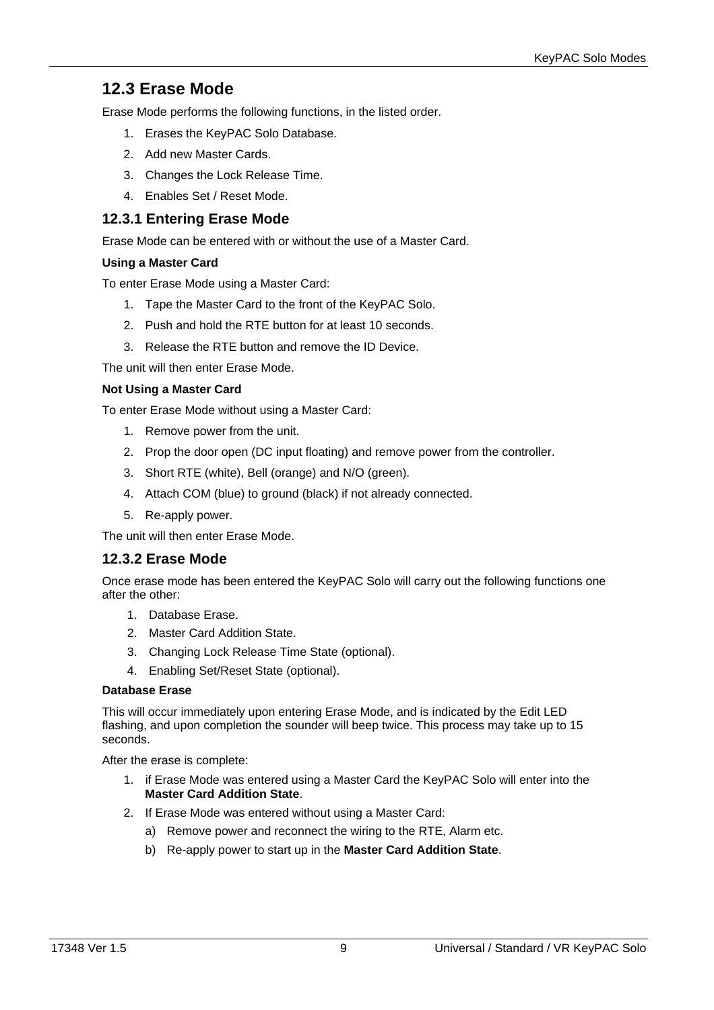### **12.3 Erase Mode**

Erase Mode performs the following functions, in the listed order.

- 1. Erases the KeyPAC Solo Database.
- 2. Add new Master Cards.
- 3. Changes the Lock Release Time.
- 4. Enables Set / Reset Mode.

### **12.3.1 Entering Erase Mode**

Erase Mode can be entered with or without the use of a Master Card.

#### **Using a Master Card**

To enter Erase Mode using a Master Card:

- 1. Tape the Master Card to the front of the KeyPAC Solo.
- 2. Push and hold the RTE button for at least 10 seconds.
- 3. Release the RTE button and remove the ID Device.

The unit will then enter Erase Mode.

#### **Not Using a Master Card**

To enter Erase Mode without using a Master Card:

- 1. Remove power from the unit.
- 2. Prop the door open (DC input floating) and remove power from the controller.
- 3. Short RTE (white), Bell (orange) and N/O (green).
- 4. Attach COM (blue) to ground (black) if not already connected.
- 5. Re-apply power.

The unit will then enter Erase Mode.

### **12.3.2 Erase Mode**

Once erase mode has been entered the KeyPAC Solo will carry out the following functions one after the other:

- 1. Database Erase.
- 2. Master Card Addition State.
- 3. Changing Lock Release Time State (optional).
- 4. Enabling Set/Reset State (optional).

#### **Database Erase**

This will occur immediately upon entering Erase Mode, and is indicated by the Edit LED flashing, and upon completion the sounder will beep twice. This process may take up to 15 seconds.

After the erase is complete:

- 1. if Erase Mode was entered using a Master Card the KeyPAC Solo will enter into the **Master Card Addition State**.
- 2. If Erase Mode was entered without using a Master Card:
	- a) Remove power and reconnect the wiring to the RTE, Alarm etc.
	- b) Re-apply power to start up in the **Master Card Addition State**.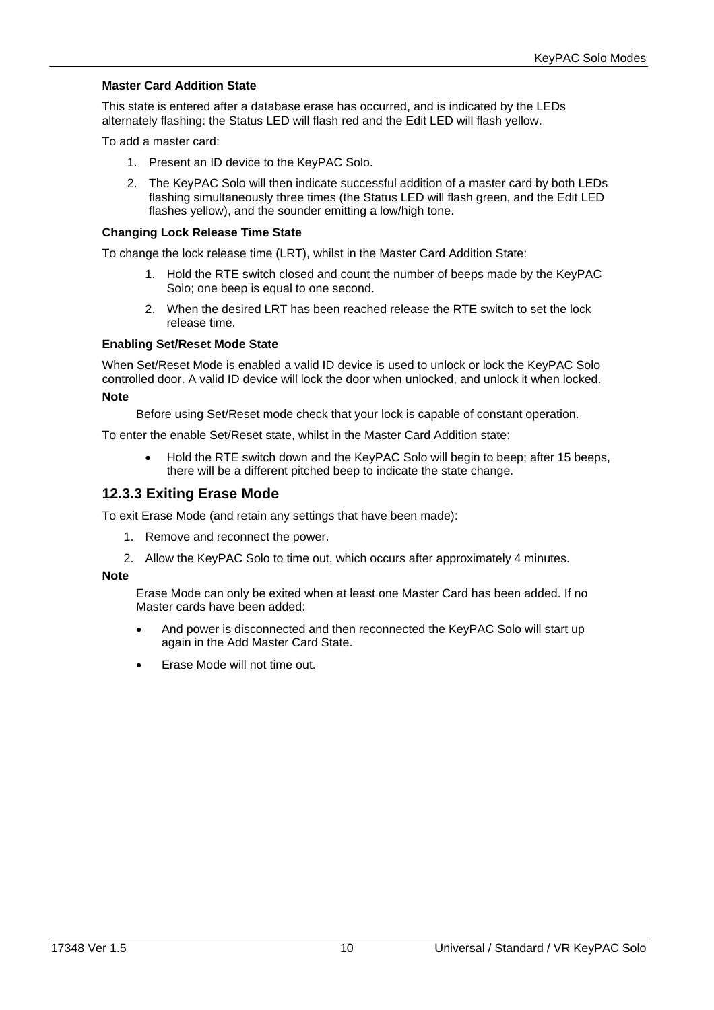#### **Master Card Addition State**

This state is entered after a database erase has occurred, and is indicated by the LEDs alternately flashing: the Status LED will flash red and the Edit LED will flash yellow.

To add a master card:

- 1. Present an ID device to the KeyPAC Solo.
- 2. The KeyPAC Solo will then indicate successful addition of a master card by both LEDs flashing simultaneously three times (the Status LED will flash green, and the Edit LED flashes yellow), and the sounder emitting a low/high tone.

#### **Changing Lock Release Time State**

To change the lock release time (LRT), whilst in the Master Card Addition State:

- 1. Hold the RTE switch closed and count the number of beeps made by the KeyPAC Solo; one beep is equal to one second.
- 2. When the desired LRT has been reached release the RTE switch to set the lock release time.

#### **Enabling Set/Reset Mode State**

When Set/Reset Mode is enabled a valid ID device is used to unlock or lock the KeyPAC Solo controlled door. A valid ID device will lock the door when unlocked, and unlock it when locked.

#### **Note**

Before using Set/Reset mode check that your lock is capable of constant operation.

To enter the enable Set/Reset state, whilst in the Master Card Addition state:

• Hold the RTE switch down and the KeyPAC Solo will begin to beep; after 15 beeps, there will be a different pitched beep to indicate the state change.

#### **12.3.3 Exiting Erase Mode**

To exit Erase Mode (and retain any settings that have been made):

- 1. Remove and reconnect the power.
- 2. Allow the KeyPAC Solo to time out, which occurs after approximately 4 minutes.

#### **Note**

Erase Mode can only be exited when at least one Master Card has been added. If no Master cards have been added:

- And power is disconnected and then reconnected the KeyPAC Solo will start up again in the Add Master Card State.
- Erase Mode will not time out.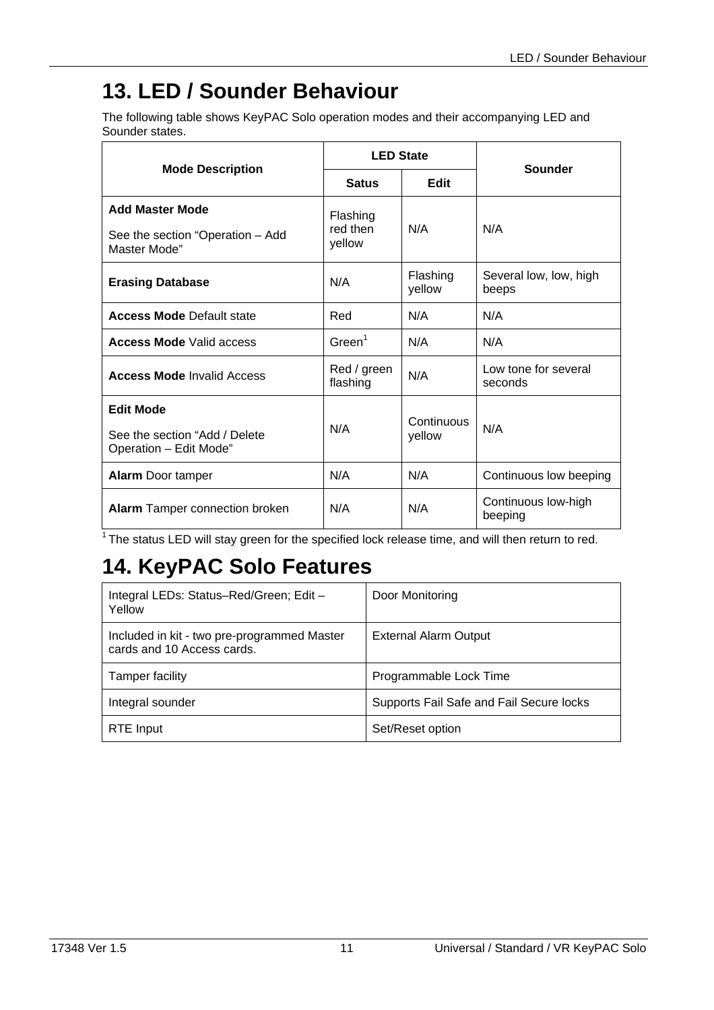## **13. LED / Sounder Behaviour**

The following table shows KeyPAC Solo operation modes and their accompanying LED and Sounder states.

|                                                                             | <b>LED State</b>               |                      | Sounder                         |
|-----------------------------------------------------------------------------|--------------------------------|----------------------|---------------------------------|
| <b>Mode Description</b>                                                     | <b>Satus</b>                   | <b>Edit</b>          |                                 |
| <b>Add Master Mode</b><br>See the section "Operation - Add<br>Master Mode"  | Flashing<br>red then<br>yellow | N/A                  | N/A                             |
| <b>Erasing Database</b>                                                     | N/A                            | Flashing<br>yellow   | Several low, low, high<br>beeps |
| <b>Access Mode Default state</b>                                            | Red                            | N/A                  | N/A                             |
| <b>Access Mode Valid access</b>                                             | Green <sup>1</sup>             | N/A                  | N/A                             |
| <b>Access Mode Invalid Access</b>                                           | Red / green<br>flashing        | N/A                  | Low tone for several<br>seconds |
| <b>Edit Mode</b><br>See the section "Add / Delete<br>Operation - Edit Mode" | N/A                            | Continuous<br>yellow | N/A                             |
| <b>Alarm</b> Door tamper                                                    | N/A                            | N/A                  | Continuous low beeping          |
| <b>Alarm</b> Tamper connection broken                                       | N/A                            | N/A                  | Continuous low-high<br>beeping  |

<sup>1</sup> The status LED will stay green for the specified lock release time, and will then return to red.

## **14. KeyPAC Solo Features**

| Integral LEDs: Status-Red/Green; Edit -<br>Yellow                         | Door Monitoring                          |
|---------------------------------------------------------------------------|------------------------------------------|
| Included in kit - two pre-programmed Master<br>cards and 10 Access cards. | <b>External Alarm Output</b>             |
| Tamper facility                                                           | Programmable Lock Time                   |
| Integral sounder                                                          | Supports Fail Safe and Fail Secure locks |
| <b>RTE Input</b>                                                          | Set/Reset option                         |